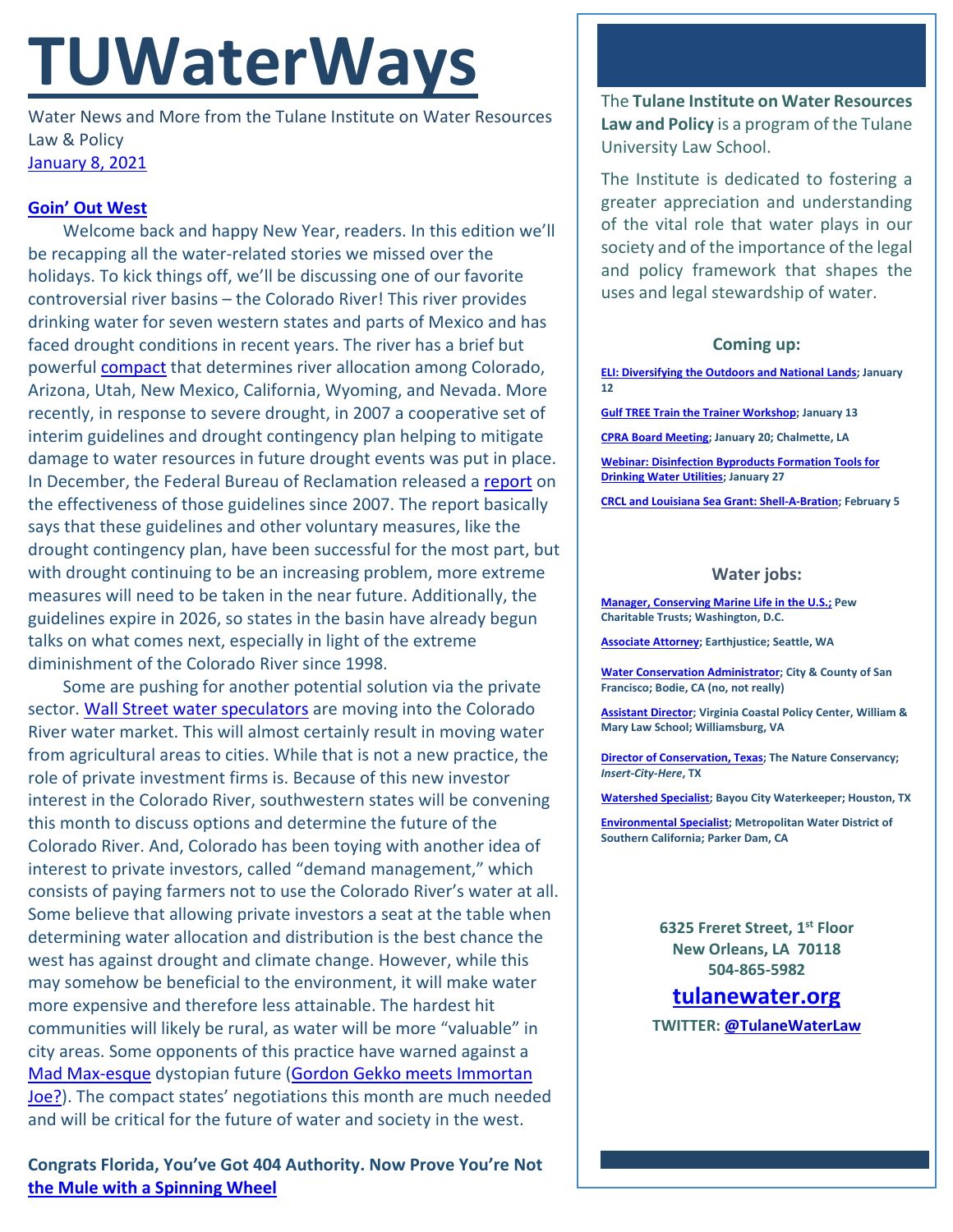# **TUWaterWays**

Water News and More from the Tulane Institute on Water Resources Law & Policy [January 8, 2021](https://thisdayinwaterhistory.wordpress.com/)

## **[Goin' Out West](https://www.youtube.com/watch?v=3uhUslw3iHQ&list=PLwVm6XYlXXBD6pZIgciMqV7fMf5ffX1Js&index=38)**

Welcome back and happy New Year, readers. In this edition we'll be recapping all the water-related stories we missed over the holidays. To kick things off, we'll be discussing one of our favorite controversial river basins – the Colorado River! This river provides drinking water for seven western states and parts of Mexico and has faced drought conditions in recent years. The river has a brief but powerful [compact](https://www.usbr.gov/lc/region/g1000/pdfiles/crcompct.pdf) that determines river allocation among Colorado, Arizona, Utah, New Mexico, California, Wyoming, and Nevada. More recently, in response to severe drought, in 2007 a cooperative set of interim guidelines and drought contingency plan helping to mitigate damage to water resources in future drought events was put in place. In December, the Federal Bureau of Reclamation released a [report](https://www.usbr.gov/ColoradoRiverBasin/documents/7.D.Review_FinalReport_12-18-2020.pdf) on the effectiveness of those guidelines since 2007. The report basically says that these guidelines and other voluntary measures, like the drought contingency plan, have been successful for the most part, but with drought continuing to be an increasing problem, more extreme measures will need to be taken in the near future. Additionally, the guidelines expire in 2026, so states in the basin have already begun talks on what comes next, especially in light of the extreme diminishment of the Colorado River since 1998.

Some are pushing for another potential solution via the private sector. [Wall Street water speculators](https://www.nytimes.com/2021/01/03/business/colorado-river-water-rights.html?smid=em-share) are moving into the Colorado River water market. This will almost certainly result in moving water from agricultural areas to cities. While that is not a new practice, the role of private investment firms is. Because of this new investor interest in the Colorado River, southwestern states will be convening this month to discuss options and determine the future of the Colorado River. And, Colorado has been toying with another idea of interest to private investors, called "demand management," which consists of paying farmers not to use the Colorado River's water at all. Some believe that allowing private investors a seat at the table when determining water allocation and distribution is the best chance the west has against drought and climate change. However, while this may somehow be beneficial to the environment, it will make water more expensive and therefore less attainable. The hardest hit communities will likely be rural, as water will be more "valuable" in city areas. Some opponents of this practice have warned against a [Mad Max-esque](https://i.ytimg.com/vi/w86QwiTNrC8/maxresdefault.jpg) dystopian future [\(Gordon Gekko meets Immortan](https://www.insider.com/greatest-movie-villains-all-time-ranked-2020-10)  [Joe?\)](https://www.insider.com/greatest-movie-villains-all-time-ranked-2020-10). The compact states' negotiations this month are much needed and will be critical for the future of water and society in the west.

**Congrats Florida, You've Got 404 Authority. Now Prove You're Not [the Mule with a Spinning Wheel](https://www.youtube.com/watch?v=nLMy2T5qrU0)**

The **Tulane Institute on Water Resources Law and Policy** is a program of the Tulane University Law School.

The Institute is dedicated to fostering a greater appreciation and understanding of the vital role that water plays in our society and of the importance of the legal and policy framework that shapes the uses and legal stewardship of water.

### **Coming up:**

**[ELI: Diversifying the Outdoors and National Lands;](https://www.eli.org/events/diversifying-outdoors-and-national-lands) January 12**

**[Gulf TREE Train the Trainer Workshop;](https://www.laseagrant.org/event/gulf-tree-train-the-trainer/?instance_id=1057) January 13**

**[CPRA Board Meeting;](https://coastal.la.gov/calendar/) January 20; Chalmette, LA**

**[Webinar: Disinfection Byproducts Formation Tools for](https://www.epa.gov/water-research/water-research-webinar-series)  [Drinking Water Utilities;](https://www.epa.gov/water-research/water-research-webinar-series) January 27**

**[CRCL and Louisiana Sea Grant: Shell-A-Bration;](https://www.laseagrant.org/event/crcl-shell-a-bration/?instance_id=1070) February 5**

#### **Water jobs:**

**[Manager, Conserving Marine Life in the U.S.;](https://jobs-pct.icims.com/jobs/6392/job?mobile=false&width=990&height=500&bga=true&needsRedirect=false&jan1offset=-360&jun1offset=-300) Pew Charitable Trusts; Washington, D.C.**

**[Associate Attorney;](https://jobs.jobvite.com/earthjustice/job/o2Modfw9?nl=1) Earthjustice; Seattle, WA**

**[Water Conservation Administrator;](https://www.jobapscloud.com/SF/sup/bulpreview.asp?R1=PEX&R2=1839&R3=108376) City & County of San Francisco; Bodie, CA (no, not really)**

**[Assistant Director;](https://jobs.wm.edu/postings/40167) Virginia Coastal Policy Center, William & Mary Law School; Williamsburg, VA**

**[Director of Conservation, Texas;](https://careers.nature.org/psc/tnccareers/APPLICANT/APPL/c/HRS_HRAM_FL.HRS_CG_SEARCH_FL.GBL?Page=HRS_APP_JBPST_FL&Action=U&FOCUS=Applicant&SiteId=1&JobOpeningId=49155&PostingSeq=1&PortalActualURL=https%3a%2f%2fcareers.nature.org%2fpsc%2ftnccareers%2fAPPLICANT%2fAPPL%2fc%2fHRS_HRAM_FL.HRS_CG_SEARCH_FL.GBL%3fPage%3dHRS_APP_JBPST_FL%26Action%3dU%26FOCUS%3dApplicant%26SiteId%3d1%26JobOpeningId%3d49155%26PostingSeq%3d1&PortalRegistryName=APPLICANT&PortalServletURI=https%3a%2f%2fcareers.nature.org%2fpsp%2ftnccareers%2f&PortalURI=https%3a%2f%2fcareers.nature.org%2fpsc%2ftnccareers%2f&PortalHostNode=APPL&NoCrumbs=yes&PortalKeyStruct=yes) The Nature Conservancy;**  *Insert-City-Here***, TX**

**[Watershed Specialist;](https://bayoucitywaterkeeper.org/who-we-are/career/) Bayou City Waterkeeper; Houston, TX**

**[Environmental Specialist;](https://bcwaterjobs.secure.force.com/ViewJob?id=a0C0e00000ORx1hEAD) Metropolitan Water District of Southern California; Parker Dam, CA**

> **6325 Freret Street, 1st Floor New Orleans, LA 70118 504-865-5982**

# **tulanewater.org**

**TWITTER[: @TulaneWaterLaw](http://www.twitter.com/TulaneWaterLaw)**